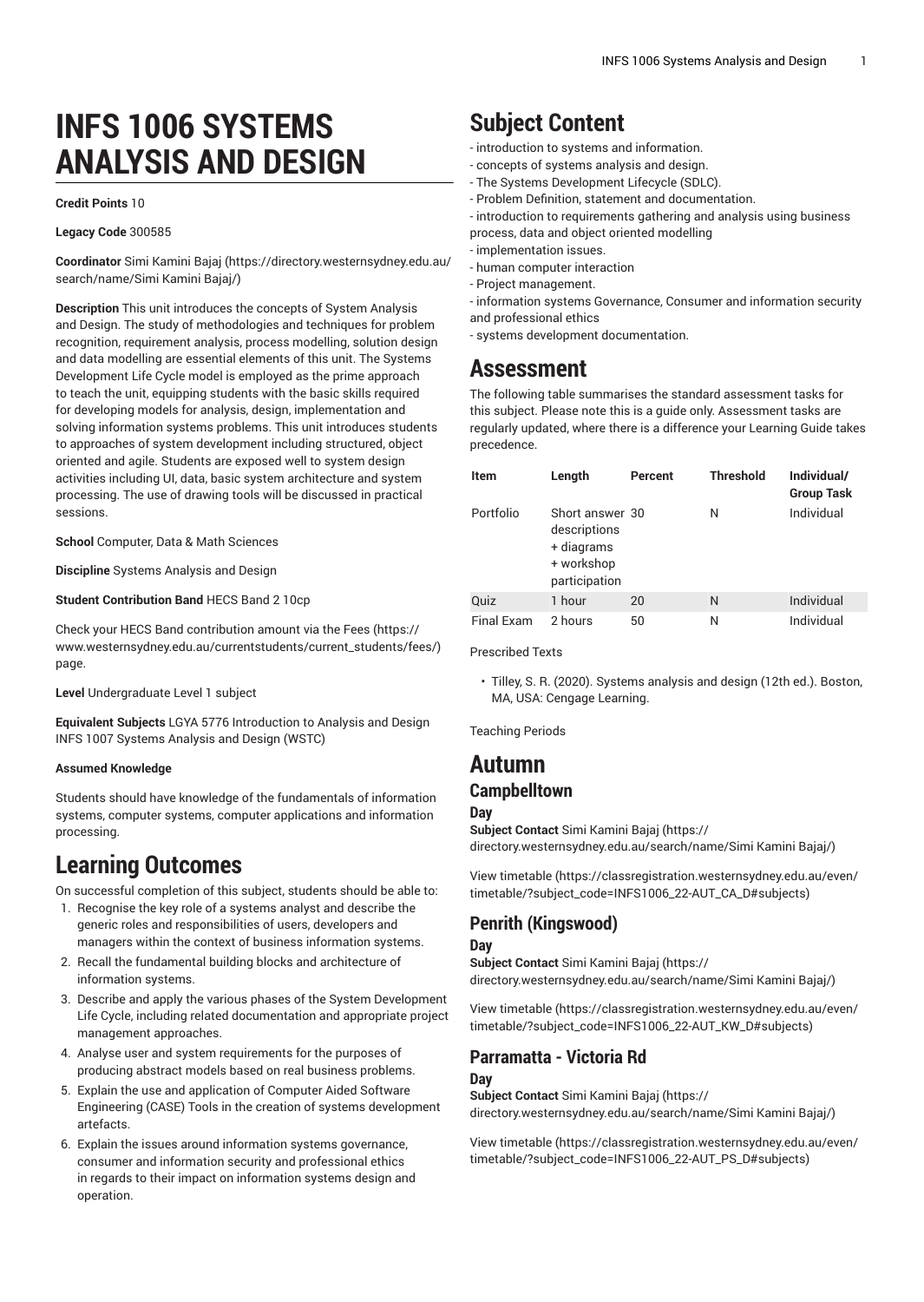# **INFS 1006 SYSTEMS ANALYSIS AND DESIGN**

#### **Credit Points** 10

#### **Legacy Code** 300585

**Coordinator** [Simi Kamini Bajaj \(https://directory.westernsydney.edu.au/](https://directory.westernsydney.edu.au/search/name/Simi Kamini Bajaj/) [search/name/Simi](https://directory.westernsydney.edu.au/search/name/Simi Kamini Bajaj/) Kamini Bajaj/)

**Description** This unit introduces the concepts of System Analysis and Design. The study of methodologies and techniques for problem recognition, requirement analysis, process modelling, solution design and data modelling are essential elements of this unit. The Systems Development Life Cycle model is employed as the prime approach to teach the unit, equipping students with the basic skills required for developing models for analysis, design, implementation and solving information systems problems. This unit introduces students to approaches of system development including structured, object oriented and agile. Students are exposed well to system design activities including UI, data, basic system architecture and system processing. The use of drawing tools will be discussed in practical sessions.

**School** Computer, Data & Math Sciences

**Discipline** Systems Analysis and Design

#### **Student Contribution Band** HECS Band 2 10cp

Check your HECS Band contribution amount via the [Fees \(https://](https://www.westernsydney.edu.au/currentstudents/current_students/fees/) [www.westernsydney.edu.au/currentstudents/current\\_students/fees/\)](https://www.westernsydney.edu.au/currentstudents/current_students/fees/) page.

**Level** Undergraduate Level 1 subject

**Equivalent Subjects** LGYA 5776 Introduction to Analysis and Design [INFS 1007](/search/?P=INFS%201007) Systems Analysis and Design (WSTC)

#### **Assumed Knowledge**

Students should have knowledge of the fundamentals of information systems, computer systems, computer applications and information processing.

## **Learning Outcomes**

On successful completion of this subject, students should be able to:

- 1. Recognise the key role of a systems analyst and describe the generic roles and responsibilities of users, developers and managers within the context of business information systems.
- 2. Recall the fundamental building blocks and architecture of information systems.
- 3. Describe and apply the various phases of the System Development Life Cycle, including related documentation and appropriate project management approaches.
- 4. Analyse user and system requirements for the purposes of producing abstract models based on real business problems.
- 5. Explain the use and application of Computer Aided Software Engineering (CASE) Tools in the creation of systems development artefacts.
- 6. Explain the issues around information systems governance, consumer and information security and professional ethics in regards to their impact on information systems design and operation.

## **Subject Content**

- introduction to systems and information.
- concepts of systems analysis and design.
- The Systems Development Lifecycle (SDLC).
- Problem Definition, statement and documentation.

- introduction to requirements gathering and analysis using business process, data and object oriented modelling

- implementation issues.
- human computer interaction
- Project management.
- information systems Governance, Consumer and information security and professional ethics
- systems development documentation.

## **Assessment**

The following table summarises the standard assessment tasks for this subject. Please note this is a guide only. Assessment tasks are regularly updated, where there is a difference your Learning Guide takes precedence.

| <b>Item</b> | Length                                                                       | Percent | <b>Threshold</b> | Individual/<br><b>Group Task</b> |
|-------------|------------------------------------------------------------------------------|---------|------------------|----------------------------------|
| Portfolio   | Short answer 30<br>descriptions<br>+ diagrams<br>+ workshop<br>participation |         | Ν                | Individual                       |
| Quiz        | 1 hour                                                                       | 20      | N                | Individual                       |
| Final Exam  | 2 hours                                                                      | 50      | Ν                | Individual                       |

Prescribed Texts

• Tilley, S. R. (2020). Systems analysis and design (12th ed.). Boston, MA, USA: Cengage Learning.

Teaching Periods

### **Autumn Campbelltown**

#### **Day**

**Subject Contact** [Simi Kamini Bajaj \(https://](https://directory.westernsydney.edu.au/search/name/Simi Kamini Bajaj/) [directory.westernsydney.edu.au/search/name/Simi](https://directory.westernsydney.edu.au/search/name/Simi Kamini Bajaj/) Kamini Bajaj/)

[View timetable](https://classregistration.westernsydney.edu.au/even/timetable/?subject_code=INFS1006_22-AUT_CA_D#subjects) [\(https://classregistration.westernsydney.edu.au/even/](https://classregistration.westernsydney.edu.au/even/timetable/?subject_code=INFS1006_22-AUT_CA_D#subjects) [timetable/?subject\\_code=INFS1006\\_22-AUT\\_CA\\_D#subjects\)](https://classregistration.westernsydney.edu.au/even/timetable/?subject_code=INFS1006_22-AUT_CA_D#subjects)

#### **Penrith (Kingswood)**

#### **Day**

**Subject Contact** [Simi Kamini Bajaj \(https://](https://directory.westernsydney.edu.au/search/name/Simi Kamini Bajaj/) [directory.westernsydney.edu.au/search/name/Simi](https://directory.westernsydney.edu.au/search/name/Simi Kamini Bajaj/) Kamini Bajaj/)

[View timetable](https://classregistration.westernsydney.edu.au/even/timetable/?subject_code=INFS1006_22-AUT_KW_D#subjects) [\(https://classregistration.westernsydney.edu.au/even/](https://classregistration.westernsydney.edu.au/even/timetable/?subject_code=INFS1006_22-AUT_KW_D#subjects) [timetable/?subject\\_code=INFS1006\\_22-AUT\\_KW\\_D#subjects\)](https://classregistration.westernsydney.edu.au/even/timetable/?subject_code=INFS1006_22-AUT_KW_D#subjects)

## **Parramatta - Victoria Rd**

#### **Day**

**Subject Contact** [Simi Kamini Bajaj \(https://](https://directory.westernsydney.edu.au/search/name/Simi Kamini Bajaj/) [directory.westernsydney.edu.au/search/name/Simi](https://directory.westernsydney.edu.au/search/name/Simi Kamini Bajaj/) Kamini Bajaj/)

[View timetable](https://classregistration.westernsydney.edu.au/even/timetable/?subject_code=INFS1006_22-AUT_PS_D#subjects) [\(https://classregistration.westernsydney.edu.au/even/](https://classregistration.westernsydney.edu.au/even/timetable/?subject_code=INFS1006_22-AUT_PS_D#subjects) [timetable/?subject\\_code=INFS1006\\_22-AUT\\_PS\\_D#subjects](https://classregistration.westernsydney.edu.au/even/timetable/?subject_code=INFS1006_22-AUT_PS_D#subjects))